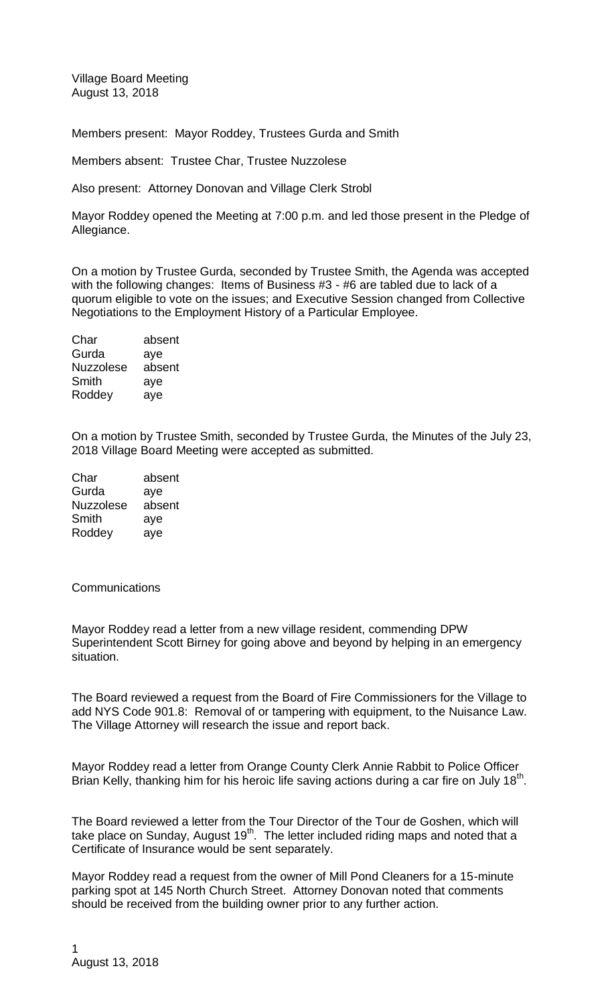Village Board Meeting August 13, 2018

Members present: Mayor Roddey, Trustees Gurda and Smith

Members absent: Trustee Char, Trustee Nuzzolese

Also present: Attorney Donovan and Village Clerk Strobl

Mayor Roddey opened the Meeting at 7:00 p.m. and led those present in the Pledge of Allegiance.

On a motion by Trustee Gurda, seconded by Trustee Smith, the Agenda was accepted with the following changes: Items of Business #3 - #6 are tabled due to lack of a quorum eligible to vote on the issues; and Executive Session changed from Collective Negotiations to the Employment History of a Particular Employee.

| absent |
|--------|
| aye    |
| absent |
| aye    |
| aye    |
|        |

On a motion by Trustee Smith, seconded by Trustee Gurda, the Minutes of the July 23, 2018 Village Board Meeting were accepted as submitted.

| Char             | absent |
|------------------|--------|
| Gurda            | aye    |
| <b>Nuzzolese</b> | absent |
| Smith            | aye    |
| Roddey           | aye    |

## **Communications**

Mayor Roddey read a letter from a new village resident, commending DPW Superintendent Scott Birney for going above and beyond by helping in an emergency situation.

The Board reviewed a request from the Board of Fire Commissioners for the Village to add NYS Code 901.8: Removal of or tampering with equipment, to the Nuisance Law. The Village Attorney will research the issue and report back.

Mayor Roddey read a letter from Orange County Clerk Annie Rabbit to Police Officer Brian Kelly, thanking him for his heroic life saving actions during a car fire on July 18<sup>th</sup>.

The Board reviewed a letter from the Tour Director of the Tour de Goshen, which will take place on Sunday, August  $19<sup>th</sup>$ . The letter included riding maps and noted that a Certificate of Insurance would be sent separately.

Mayor Roddey read a request from the owner of Mill Pond Cleaners for a 15-minute parking spot at 145 North Church Street. Attorney Donovan noted that comments should be received from the building owner prior to any further action.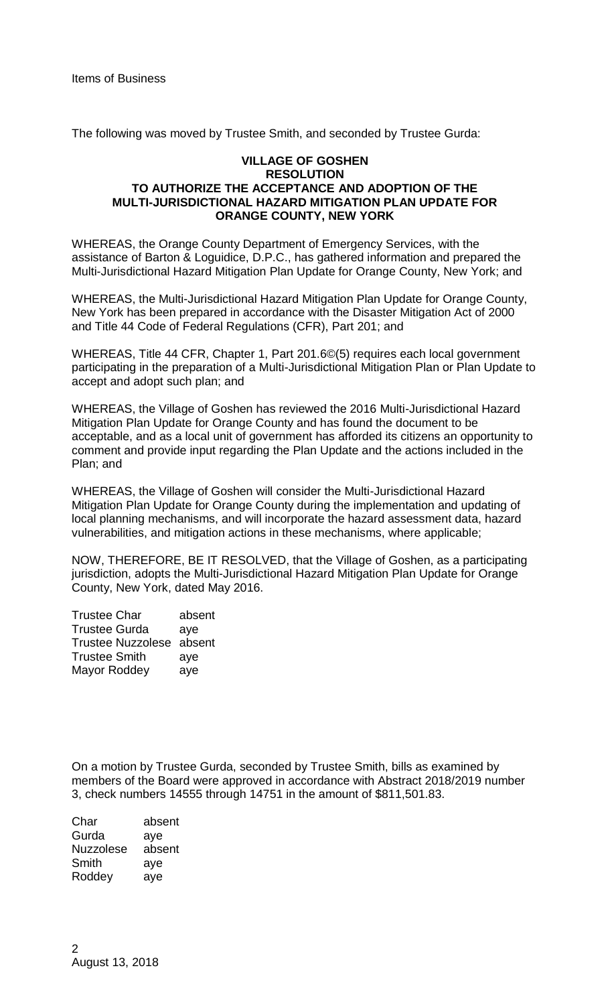The following was moved by Trustee Smith, and seconded by Trustee Gurda:

## **VILLAGE OF GOSHEN RESOLUTION TO AUTHORIZE THE ACCEPTANCE AND ADOPTION OF THE MULTI-JURISDICTIONAL HAZARD MITIGATION PLAN UPDATE FOR ORANGE COUNTY, NEW YORK**

WHEREAS, the Orange County Department of Emergency Services, with the assistance of Barton & Loguidice, D.P.C., has gathered information and prepared the Multi-Jurisdictional Hazard Mitigation Plan Update for Orange County, New York; and

WHEREAS, the Multi-Jurisdictional Hazard Mitigation Plan Update for Orange County, New York has been prepared in accordance with the Disaster Mitigation Act of 2000 and Title 44 Code of Federal Regulations (CFR), Part 201; and

WHEREAS, Title 44 CFR, Chapter 1, Part 201.6©(5) requires each local government participating in the preparation of a Multi-Jurisdictional Mitigation Plan or Plan Update to accept and adopt such plan; and

WHEREAS, the Village of Goshen has reviewed the 2016 Multi-Jurisdictional Hazard Mitigation Plan Update for Orange County and has found the document to be acceptable, and as a local unit of government has afforded its citizens an opportunity to comment and provide input regarding the Plan Update and the actions included in the Plan; and

WHEREAS, the Village of Goshen will consider the Multi-Jurisdictional Hazard Mitigation Plan Update for Orange County during the implementation and updating of local planning mechanisms, and will incorporate the hazard assessment data, hazard vulnerabilities, and mitigation actions in these mechanisms, where applicable;

NOW, THEREFORE, BE IT RESOLVED, that the Village of Goshen, as a participating jurisdiction, adopts the Multi-Jurisdictional Hazard Mitigation Plan Update for Orange County, New York, dated May 2016.

| <b>Trustee Char</b>      | absent |
|--------------------------|--------|
| <b>Trustee Gurda</b>     | aye    |
| Trustee Nuzzolese absent |        |
| <b>Trustee Smith</b>     | aye    |
| <b>Mayor Roddey</b>      | aye    |
|                          |        |

On a motion by Trustee Gurda, seconded by Trustee Smith, bills as examined by members of the Board were approved in accordance with Abstract 2018/2019 number 3, check numbers 14555 through 14751 in the amount of \$811,501.83.

| Char             | absent |
|------------------|--------|
| Gurda            | aye    |
| <b>Nuzzolese</b> | absent |
| Smith            | aye    |
| Roddey           | ave    |